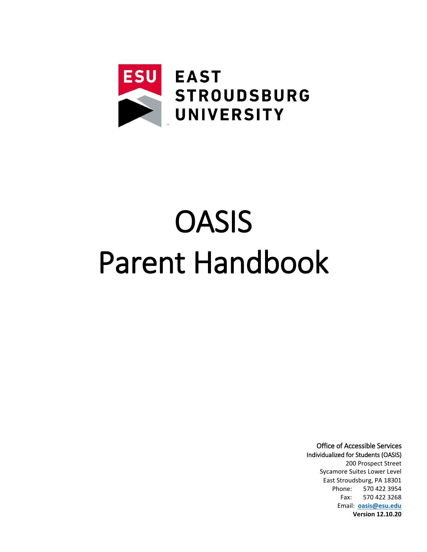

# **OASIS** Parent Handbook

Office of Accessible Services Individualized for Students (OASIS) 200 Prospect Street Sycamore Suites Lower Level East Stroudsburg, PA 18301 Phone: 570 422 3954 Fax: 570 422 3268 Email: **oasis@esu.edu Version 12.10.20**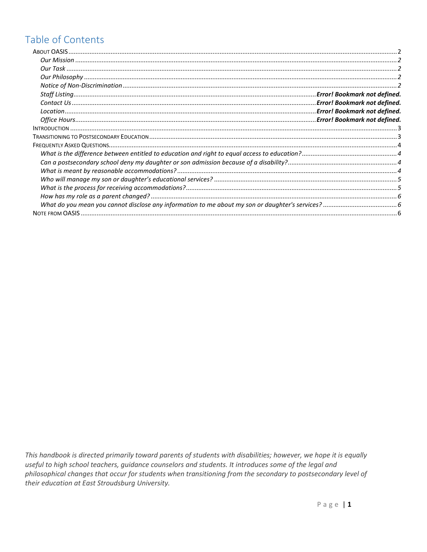# Table of Contents

This handbook is directed primarily toward parents of students with disabilities; however, we hope it is equally useful to high school teachers, guidance counselors and students. It introduces some of the legal and philosophical changes that occur for students when transitioning from the secondary to postsecondary level of their education at East Stroudsburg University.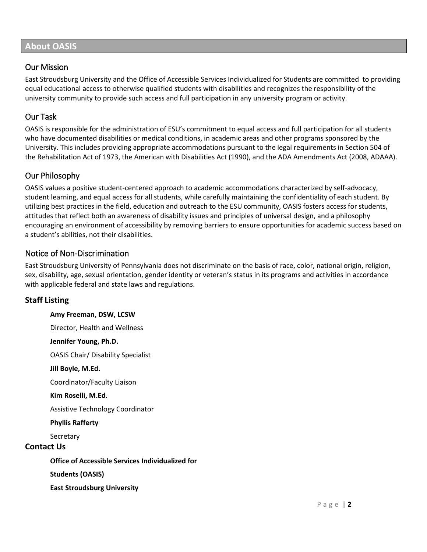# <span id="page-2-0"></span>**About OASIS**

#### <span id="page-2-1"></span>Our Mission

East Stroudsburg University and the Office of Accessible Services Individualized for Students are committed to providing equal educational access to otherwise qualified students with disabilities and recognizes the responsibility of the university community to provide such access and full participation in any university program or activity.

# <span id="page-2-2"></span>Our Task

OASIS is responsible for the administration of ESU's commitment to equal access and full participation for all students who have documented disabilities or medical conditions, in academic areas and other programs sponsored by the University. This includes providing appropriate accommodations pursuant to the legal requirements in Section 504 of the Rehabilitation Act of 1973, the American with Disabilities Act (1990), and the ADA Amendments Act (2008, ADAAA).

# <span id="page-2-3"></span>Our Philosophy

OASIS values a positive student-centered approach to academic accommodations characterized by self-advocacy, student learning, and equal access for all students, while carefully maintaining the confidentiality of each student. By utilizing best practices in the field, education and outreach to the ESU community, OASIS fosters access for students, attitudes that reflect both an awareness of disability issues and principles of universal design, and a philosophy encouraging an environment of accessibility by removing barriers to ensure opportunities for academic success based on a student's abilities, not their disabilities.

### <span id="page-2-4"></span>Notice of Non-Discrimination

East Stroudsburg University of Pennsylvania does not discriminate on the basis of race, color, national origin, religion, sex, disability, age, sexual orientation, gender identity or veteran's status in its programs and activities in accordance with applicable federal and state laws and regulations.

#### **Staff Listing**

**Amy Freeman, DSW, LCSW** Director, Health and Wellness **Jennifer Young, Ph.D.** OASIS Chair/ Disability Specialist **Jill Boyle, M.Ed.** Coordinator/Faculty Liaison **Kim Roselli, M.Ed.** Assistive Technology Coordinator **Phyllis Rafferty Secretary Contact Us Office of Accessible Services Individualized for Students (OASIS)**

**East Stroudsburg University**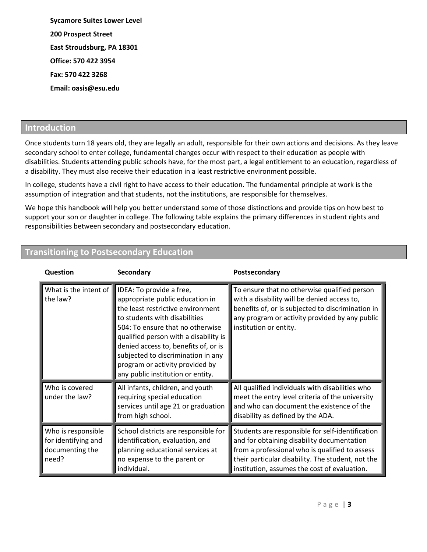**Sycamore Suites Lower Level 200 Prospect Street East Stroudsburg, PA 18301 Office: 570 422 3954 Fax: 570 422 3268 Email: oasis@esu.edu**

#### <span id="page-3-0"></span>**Introduction**

Once students turn 18 years old, they are legally an adult, responsible for their own actions and decisions. As they leave secondary school to enter college, fundamental changes occur with respect to their education as people with disabilities. Students attending public schools have, for the most part, a legal entitlement to an education, regardless of a disability. They must also receive their education in a least restrictive environment possible.

In college, students have a civil right to have access to their education. The fundamental principle at work is the assumption of integration and that students, not the institutions, are responsible for themselves.

We hope this handbook will help you better understand some of those distinctions and provide tips on how best to support your son or daughter in college. The following table explains the primary differences in student rights and responsibilities between secondary and postsecondary education.

| Question                                                              | Secondary                                                                                                                                                                                                                                                                                                                                                            | Postsecondary                                                                                                                                                                                                                                         |
|-----------------------------------------------------------------------|----------------------------------------------------------------------------------------------------------------------------------------------------------------------------------------------------------------------------------------------------------------------------------------------------------------------------------------------------------------------|-------------------------------------------------------------------------------------------------------------------------------------------------------------------------------------------------------------------------------------------------------|
| What is the intent of $\blacksquare$<br>the law?                      | IDEA: To provide a free,<br>appropriate public education in<br>the least restrictive environment<br>to students with disabilities<br>504: To ensure that no otherwise<br>qualified person with a disability is<br>denied access to, benefits of, or is<br>subjected to discrimination in any<br>program or activity provided by<br>any public institution or entity. | To ensure that no otherwise qualified person<br>with a disability will be denied access to,<br>benefits of, or is subjected to discrimination in<br>any program or activity provided by any public<br>institution or entity.                          |
| Who is covered<br>under the law?                                      | All infants, children, and youth<br>requiring special education<br>services until age 21 or graduation<br>from high school.                                                                                                                                                                                                                                          | All qualified individuals with disabilities who<br>meet the entry level criteria of the university<br>and who can document the existence of the<br>disability as defined by the ADA.                                                                  |
| Who is responsible<br>for identifying and<br>documenting the<br>need? | School districts are responsible for<br>identification, evaluation, and<br>planning educational services at<br>no expense to the parent or<br>individual.                                                                                                                                                                                                            | Students are responsible for self-identification<br>and for obtaining disability documentation<br>from a professional who is qualified to assess<br>their particular disability. The student, not the<br>institution, assumes the cost of evaluation. |

# <span id="page-3-1"></span>**Transitioning to Postsecondary Education**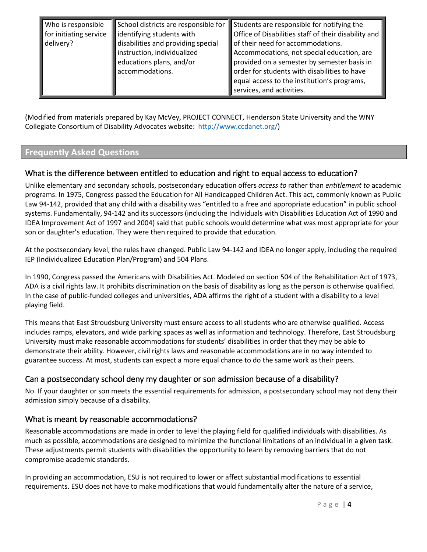|  | Who is responsible<br>for initiating service<br>delivery? | School districts are responsible for<br>identifying students with<br>disabilities and providing special<br>instruction, individualized<br>educations plans, and/or<br>accommodations. | Students are responsible for notifying the<br>Office of Disabilities staff of their disability and<br>of their need for accommodations.<br>Accommodations, not special education, are<br>provided on a semester by semester basis in<br>order for students with disabilities to have<br>equal access to the institution's programs,<br>services, and activities. |
|--|-----------------------------------------------------------|---------------------------------------------------------------------------------------------------------------------------------------------------------------------------------------|------------------------------------------------------------------------------------------------------------------------------------------------------------------------------------------------------------------------------------------------------------------------------------------------------------------------------------------------------------------|
|--|-----------------------------------------------------------|---------------------------------------------------------------------------------------------------------------------------------------------------------------------------------------|------------------------------------------------------------------------------------------------------------------------------------------------------------------------------------------------------------------------------------------------------------------------------------------------------------------------------------------------------------------|

(Modified from materials prepared by Kay McVey, PROJECT CONNECT, Henderson State University and the WNY Collegiate Consortium of Disability Advocates website: [http://www.ccdanet.org/\)](http://www.ccdanet.org/)

# <span id="page-4-0"></span>**Frequently Asked Questions**

### <span id="page-4-1"></span>What is the difference between entitled to education and right to equal access to education?

Unlike elementary and secondary schools, postsecondary education offers *access to* rather than *entitlement to* academic programs. In 1975, Congress passed the Education for All Handicapped Children Act. This act, commonly known as Public Law 94-142, provided that any child with a disability was "entitled to a free and appropriate education" in public school systems. Fundamentally, 94-142 and its successors (including the Individuals with Disabilities Education Act of 1990 and IDEA Improvement Act of 1997 and 2004) said that public schools would determine what was most appropriate for your son or daughter's education. They were then required to provide that education.

At the postsecondary level, the rules have changed. Public Law 94-142 and IDEA no longer apply, including the required IEP (Individualized Education Plan/Program) and 504 Plans.

In 1990, Congress passed the Americans with Disabilities Act. Modeled on section 504 of the Rehabilitation Act of 1973, ADA is a civil rights law. It prohibits discrimination on the basis of disability as long as the person is otherwise qualified. In the case of public-funded colleges and universities, ADA affirms the right of a student with a disability to a level playing field.

This means that East Stroudsburg University must ensure access to all students who are otherwise qualified. Access includes ramps, elevators, and wide parking spaces as well as information and technology. Therefore, East Stroudsburg University must make reasonable accommodations for students' disabilities in order that they may be able to demonstrate their ability. However, civil rights laws and reasonable accommodations are in no way intended to guarantee success. At most, students can expect a more equal chance to do the same work as their peers.

# <span id="page-4-2"></span>Can a postsecondary school deny my daughter or son admission because of a disability?

No. If your daughter or son meets the essential requirements for admission, a postsecondary school may not deny their admission simply because of a disability.

#### <span id="page-4-3"></span>What is meant by reasonable accommodations?

Reasonable accommodations are made in order to level the playing field for qualified individuals with disabilities. As much as possible, accommodations are designed to minimize the functional limitations of an individual in a given task. These adjustments permit students with disabilities the opportunity to learn by removing barriers that do not compromise academic standards.

In providing an accommodation, ESU is not required to lower or affect substantial modifications to essential requirements. ESU does not have to make modifications that would fundamentally alter the nature of a service,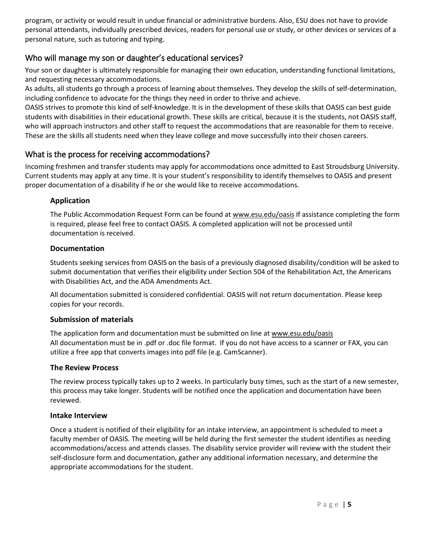program, or activity or would result in undue financial or administrative burdens. Also, ESU does not have to provide personal attendants, individually prescribed devices, readers for personal use or study, or other devices or services of a personal nature, such as tutoring and typing.

### <span id="page-5-0"></span>Who will manage my son or daughter's educational services?

Your son or daughter is ultimately responsible for managing their own education, understanding functional limitations, and requesting necessary accommodations.

As adults, all students go through a process of learning about themselves. They develop the skills of self-determination, including confidence to advocate for the things they need in order to thrive and achieve.

OASIS strives to promote this kind of self-knowledge. It is in the development of these skills that OASIS can best guide students with disabilities in their educational growth. These skills are critical, because it is the students, not OASIS staff, who will approach instructors and other staff to request the accommodations that are reasonable for them to receive. These are the skills all students need when they leave college and move successfully into their chosen careers.

#### <span id="page-5-1"></span>What is the process for receiving accommodations?

Incoming freshmen and transfer students may apply for accommodations once admitted to East Stroudsburg University. Current students may apply at any time. It is your student's responsibility to identify themselves to OASIS and present proper documentation of a disability if he or she would like to receive accommodations.

#### **Application**

The Public Accommodation Request Form can be found at www.esu.edu/oasis If assistance completing the form is required, please feel free to contact OASIS. A completed application will not be processed until documentation is received.

#### **Documentation**

Students seeking services from OASIS on the basis of a previously diagnosed disability/condition will be asked to submit documentation that verifies their eligibility under Section 504 of the Rehabilitation Act, the Americans with Disabilities Act, and the ADA Amendments Act.

All documentation submitted is considered confidential. OASIS will not return documentation. Please keep copies for your records.

#### **Submission of materials**

The application form and documentation must be submitted on line at www.esu.edu/oasis All documentation must be in .pdf or .doc file format. If you do not have access to a scanner or FAX, you can utilize a free app that converts images into pdf file (e.g. CamScanner).

#### **The Review Process**

The review process typically takes up to 2 weeks. In particularly busy times, such as the start of a new semester, this process may take longer. Students will be notified once the application and documentation have been reviewed.

#### **Intake Interview**

Once a student is notified of their eligibility for an intake interview, an appointment is scheduled to meet a faculty member of OASIS. The meeting will be held during the first semester the student identifies as needing accommodations/access and attends classes. The disability service provider will review with the student their self-disclosure form and documentation, gather any additional information necessary, and determine the appropriate accommodations for the student.